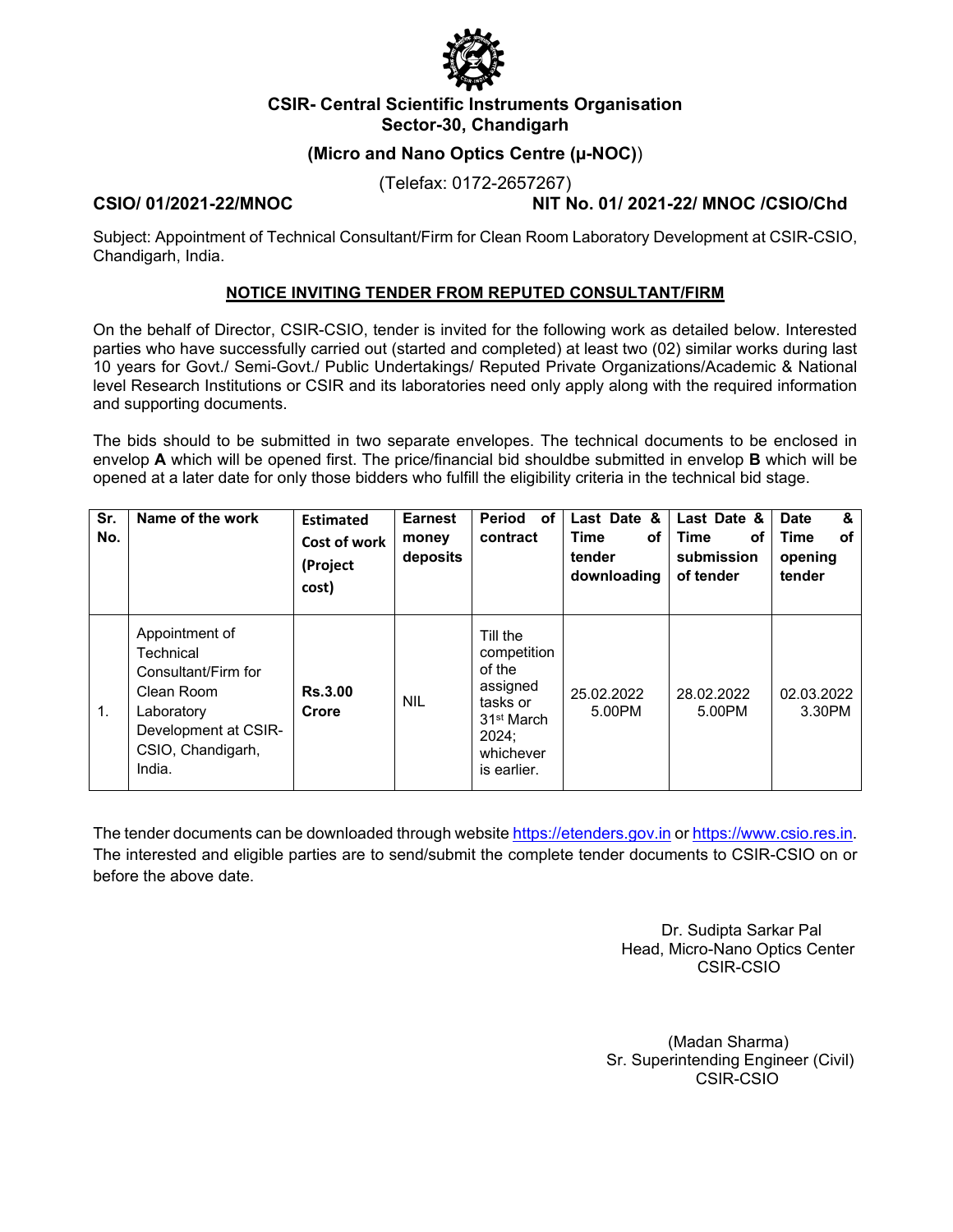

### **CSIR- Central Scientific Instruments Organisation Sector-30, Chandigarh**

# **(Micro and Nano Optics Centre (µ-NOC)**)

(Telefax: 0172-2657267)

**CSIO/ 01/2021-22/MNOC NIT No. 01/ 2021-22/ MNOC /CSIO/Chd** 

Subject: Appointment of Technical Consultant/Firm for Clean Room Laboratory Development at CSIR-CSIO, Chandigarh, India.

#### **NOTICE INVITING TENDER FROM REPUTED CONSULTANT/FIRM**

On the behalf of Director, CSIR-CSIO, tender is invited for the following work as detailed below. Interested parties who have successfully carried out (started and completed) at least two (02) similar works during last 10 years for Govt./ Semi-Govt./ Public Undertakings/ Reputed Private Organizations/Academic & National level Research Institutions or CSIR and its laboratories need only apply along with the required information and supporting documents.

The bids should to be submitted in two separate envelopes. The technical documents to be enclosed in envelop **A** which will be opened first. The price/financial bid shouldbe submitted in envelop **B** which will be opened at a later date for only those bidders who fulfill the eligibility criteria in the technical bid stage.

| Sr.<br>No. | Name of the work                                                                                                                      | <b>Estimated</b><br>Cost of work<br>(Project<br>cost) | <b>Earnest</b><br>money<br>deposits | <b>Period</b><br>οf<br>contract                                                                                          | Last Date &<br><b>Time</b><br>оf<br>tender<br>downloading | Last Date &<br><b>Time</b><br>οf<br>submission<br>of tender | &<br><b>Date</b><br>οf<br>Time<br>opening<br>tender |
|------------|---------------------------------------------------------------------------------------------------------------------------------------|-------------------------------------------------------|-------------------------------------|--------------------------------------------------------------------------------------------------------------------------|-----------------------------------------------------------|-------------------------------------------------------------|-----------------------------------------------------|
| 1.         | Appointment of<br>Technical<br>Consultant/Firm for<br>Clean Room<br>Laboratory<br>Development at CSIR-<br>CSIO, Chandigarh,<br>India. | <b>Rs.3.00</b><br>Crore                               | <b>NIL</b>                          | Till the<br>competition<br>of the<br>assigned<br>tasks or<br>31 <sup>st</sup> March<br>2024:<br>whichever<br>is earlier. | 25.02.2022<br>5.00PM                                      | 28.02.2022<br>5.00PM                                        | 02.03.2022<br>3.30PM                                |

The tender documents can be downloaded through website https://etenders.gov.in or https://www.csio.res.in. The interested and eligible parties are to send/submit the complete tender documents to CSIR-CSIO on or before the above date.

> Dr. Sudipta Sarkar Pal Head, Micro-Nano Optics Center CSIR-CSIO

 (Madan Sharma) Sr. Superintending Engineer (Civil) CSIR-CSIO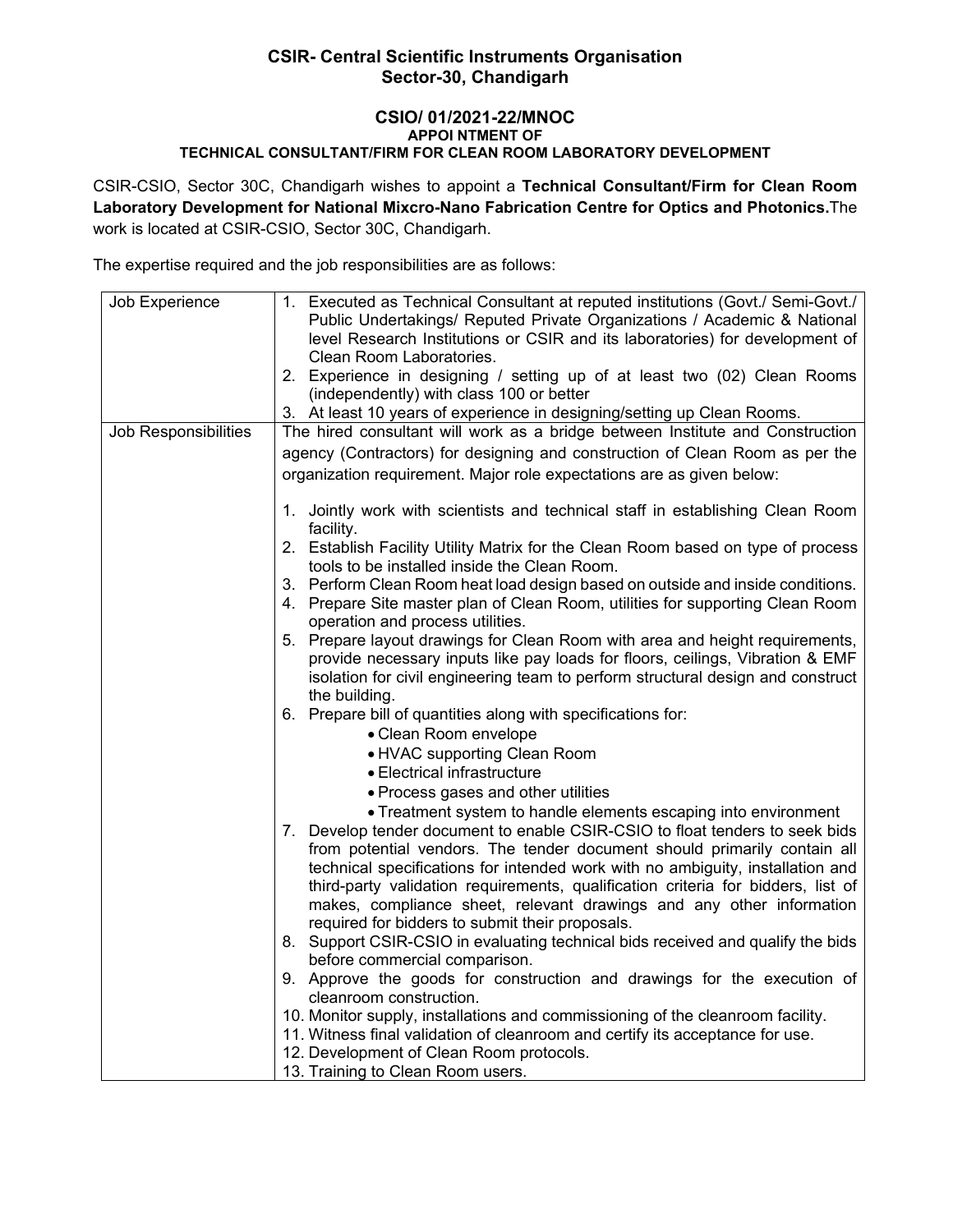# **CSIR- Central Scientific Instruments Organisation Sector-30, Chandigarh**

#### **CSIO/ 01/2021-22/MNOC APPOI NTMENT OF TECHNICAL CONSULTANT/FIRM FOR CLEAN ROOM LABORATORY DEVELOPMENT**

CSIR-CSIO, Sector 30C, Chandigarh wishes to appoint a **Technical Consultant/Firm for Clean Room Laboratory Development for National Mixcro-Nano Fabrication Centre for Optics and Photonics.**The work is located at CSIR-CSIO, Sector 30C, Chandigarh.

The expertise required and the job responsibilities are as follows:

| Job Experience       | 1. Executed as Technical Consultant at reputed institutions (Govt./ Semi-Govt./  |  |  |
|----------------------|----------------------------------------------------------------------------------|--|--|
|                      | Public Undertakings/ Reputed Private Organizations / Academic & National         |  |  |
|                      | level Research Institutions or CSIR and its laboratories) for development of     |  |  |
|                      | Clean Room Laboratories.                                                         |  |  |
|                      | 2. Experience in designing / setting up of at least two (02) Clean Rooms         |  |  |
|                      | (independently) with class 100 or better                                         |  |  |
|                      | 3. At least 10 years of experience in designing/setting up Clean Rooms.          |  |  |
| Job Responsibilities | The hired consultant will work as a bridge between Institute and Construction    |  |  |
|                      | agency (Contractors) for designing and construction of Clean Room as per the     |  |  |
|                      |                                                                                  |  |  |
|                      | organization requirement. Major role expectations are as given below:            |  |  |
|                      |                                                                                  |  |  |
|                      | 1. Jointly work with scientists and technical staff in establishing Clean Room   |  |  |
|                      | facility.                                                                        |  |  |
|                      | 2. Establish Facility Utility Matrix for the Clean Room based on type of process |  |  |
|                      | tools to be installed inside the Clean Room.                                     |  |  |
|                      | 3. Perform Clean Room heat load design based on outside and inside conditions.   |  |  |
|                      | 4. Prepare Site master plan of Clean Room, utilities for supporting Clean Room   |  |  |
|                      | operation and process utilities.                                                 |  |  |
|                      | 5. Prepare layout drawings for Clean Room with area and height requirements,     |  |  |
|                      | provide necessary inputs like pay loads for floors, ceilings, Vibration & EMF    |  |  |
|                      | isolation for civil engineering team to perform structural design and construct  |  |  |
|                      | the building.                                                                    |  |  |
|                      | 6. Prepare bill of quantities along with specifications for:                     |  |  |
|                      | • Clean Room envelope                                                            |  |  |
|                      | • HVAC supporting Clean Room                                                     |  |  |
|                      | • Electrical infrastructure                                                      |  |  |
|                      | • Process gases and other utilities                                              |  |  |
|                      | • Treatment system to handle elements escaping into environment                  |  |  |
|                      | 7. Develop tender document to enable CSIR-CSIO to float tenders to seek bids     |  |  |
|                      | from potential vendors. The tender document should primarily contain all         |  |  |
|                      | technical specifications for intended work with no ambiguity, installation and   |  |  |
|                      | third-party validation requirements, qualification criteria for bidders, list of |  |  |
|                      | makes, compliance sheet, relevant drawings and any other information             |  |  |
|                      | required for bidders to submit their proposals.                                  |  |  |
|                      | 8. Support CSIR-CSIO in evaluating technical bids received and qualify the bids  |  |  |
|                      | before commercial comparison.                                                    |  |  |
|                      | 9. Approve the goods for construction and drawings for the execution of          |  |  |
|                      | cleanroom construction.                                                          |  |  |
|                      | 10. Monitor supply, installations and commissioning of the cleanroom facility.   |  |  |
|                      | 11. Witness final validation of cleanroom and certify its acceptance for use.    |  |  |
|                      | 12. Development of Clean Room protocols.                                         |  |  |
|                      | 13. Training to Clean Room users.                                                |  |  |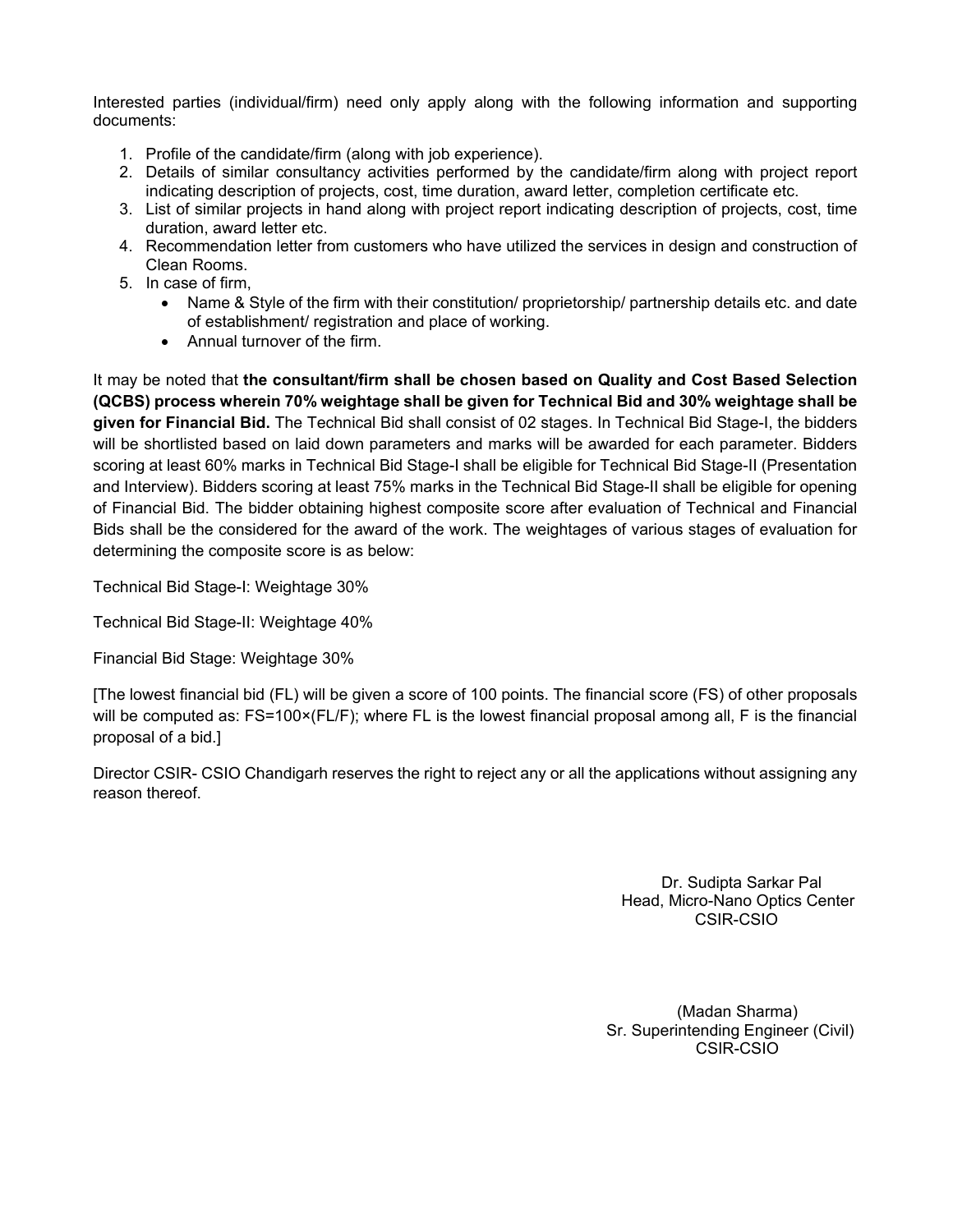Interested parties (individual/firm) need only apply along with the following information and supporting documents:

- 1. Profile of the candidate/firm (along with job experience).
- 2. Details of similar consultancy activities performed by the candidate/firm along with project report indicating description of projects, cost, time duration, award letter, completion certificate etc.
- 3. List of similar projects in hand along with project report indicating description of projects, cost, time duration, award letter etc.
- 4. Recommendation letter from customers who have utilized the services in design and construction of Clean Rooms.
- 5. In case of firm,
	- Name & Style of the firm with their constitution/ proprietorship/ partnership details etc. and date of establishment/ registration and place of working.
	- Annual turnover of the firm.

It may be noted that **the consultant/firm shall be chosen based on Quality and Cost Based Selection (QCBS) process wherein 70% weightage shall be given for Technical Bid and 30% weightage shall be given for Financial Bid.** The Technical Bid shall consist of 02 stages. In Technical Bid Stage-I, the bidders will be shortlisted based on laid down parameters and marks will be awarded for each parameter. Bidders scoring at least 60% marks in Technical Bid Stage-I shall be eligible for Technical Bid Stage-II (Presentation and Interview). Bidders scoring at least 75% marks in the Technical Bid Stage-II shall be eligible for opening of Financial Bid. The bidder obtaining highest composite score after evaluation of Technical and Financial Bids shall be the considered for the award of the work. The weightages of various stages of evaluation for determining the composite score is as below:

Technical Bid Stage-I: Weightage 30%

Technical Bid Stage-II: Weightage 40%

Financial Bid Stage: Weightage 30%

[The lowest financial bid (FL) will be given a score of 100 points. The financial score (FS) of other proposals will be computed as: FS=100×(FL/F); where FL is the lowest financial proposal among all, F is the financial proposal of a bid.]

Director CSIR- CSIO Chandigarh reserves the right to reject any or all the applications without assigning any reason thereof.

> Dr. Sudipta Sarkar Pal Head, Micro-Nano Optics Center CSIR-CSIO

 (Madan Sharma) Sr. Superintending Engineer (Civil) CSIR-CSIO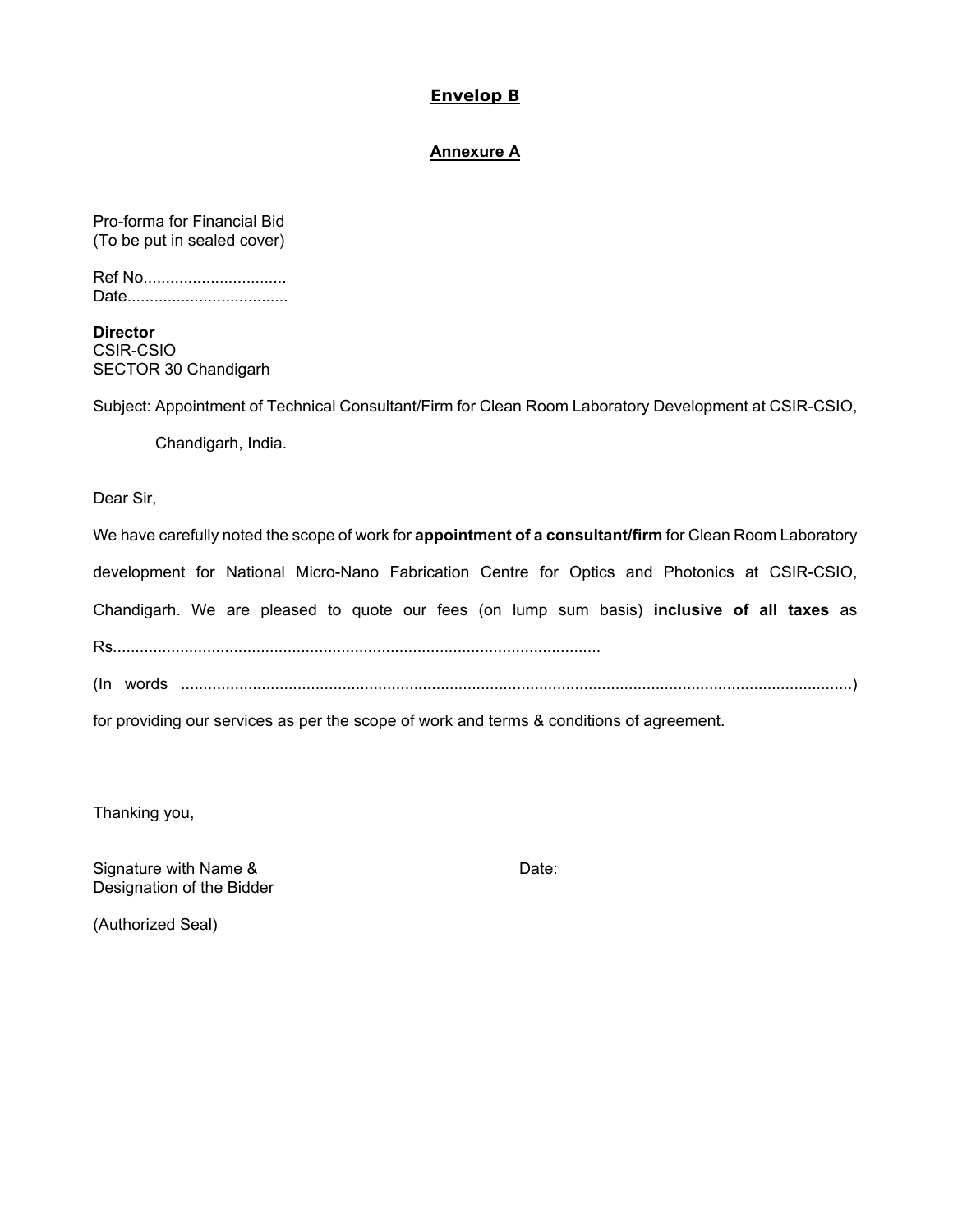#### **Envelop B**

#### **Annexure A**

Pro-forma for Financial Bid (To be put in sealed cover)

| Ref No |  |
|--------|--|
|        |  |

**Director**  CSIR-CSIO SECTOR 30 Chandigarh

Subject: Appointment of Technical Consultant/Firm for Clean Room Laboratory Development at CSIR-CSIO,

Chandigarh, India.

Dear Sir,

We have carefully noted the scope of work for **appointment of a consultant/firm** for Clean Room Laboratory

development for National Micro-Nano Fabrication Centre for Optics and Photonics at CSIR-CSIO,

Chandigarh. We are pleased to quote our fees (on lump sum basis) **inclusive of all taxes** as

Rs.............................................................................................................

(In words ......................................................................................................................................................)

for providing our services as per the scope of work and terms & conditions of agreement.

Thanking you,

Signature with Name & Date: Designation of the Bidder

(Authorized Seal)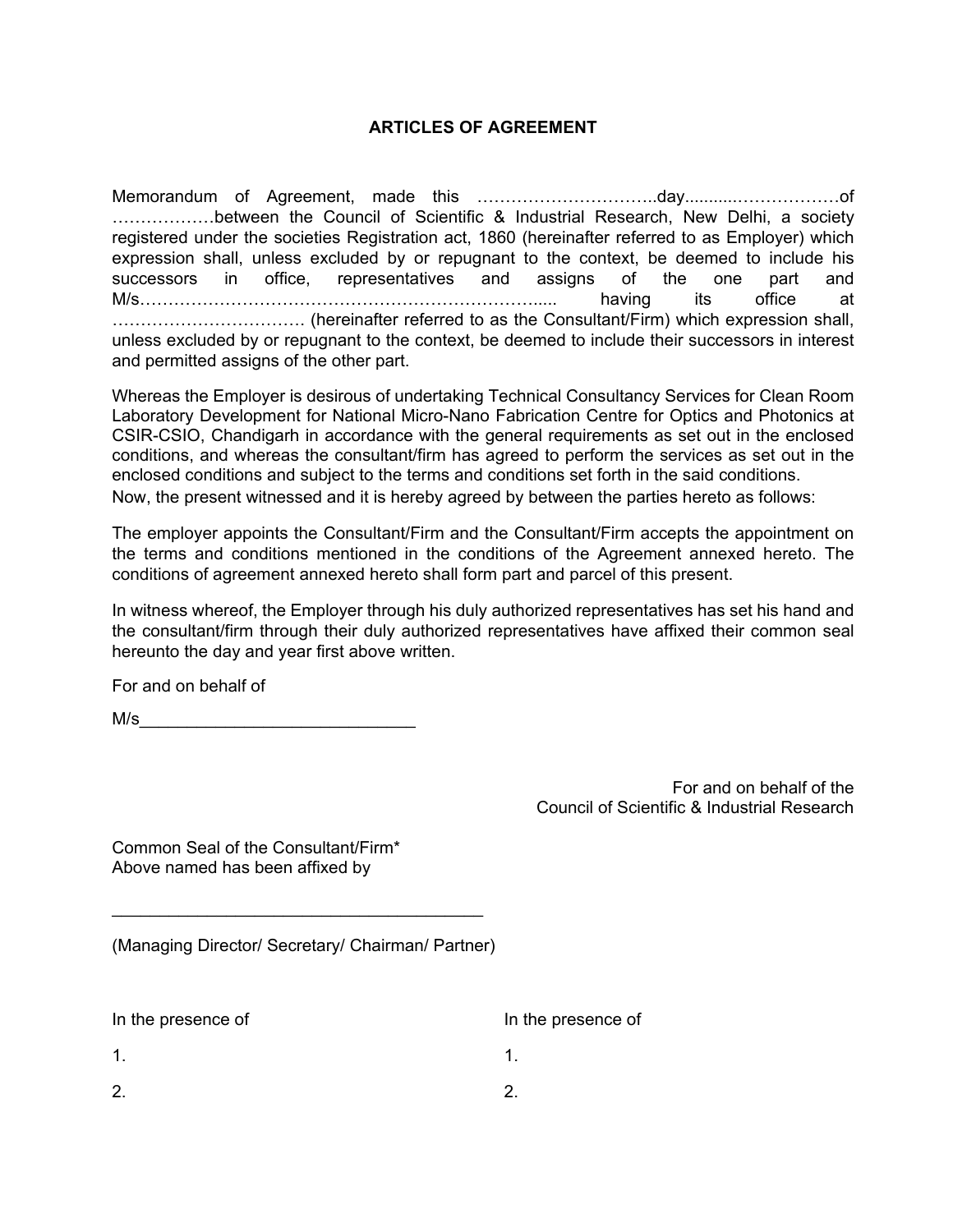# **ARTICLES OF AGREEMENT**

Memorandum of Agreement, made this …………………………..day...........………………of ………………between the Council of Scientific & Industrial Research, New Delhi, a society registered under the societies Registration act, 1860 (hereinafter referred to as Employer) which expression shall, unless excluded by or repugnant to the context, be deemed to include his successors in office, representatives and assigns of the one part and M/s……………………………………………………………..... having its office at ……………………………. (hereinafter referred to as the Consultant/Firm) which expression shall, unless excluded by or repugnant to the context, be deemed to include their successors in interest and permitted assigns of the other part.

Whereas the Employer is desirous of undertaking Technical Consultancy Services for Clean Room Laboratory Development for National Micro-Nano Fabrication Centre for Optics and Photonics at CSIR-CSIO, Chandigarh in accordance with the general requirements as set out in the enclosed conditions, and whereas the consultant/firm has agreed to perform the services as set out in the enclosed conditions and subject to the terms and conditions set forth in the said conditions. Now, the present witnessed and it is hereby agreed by between the parties hereto as follows:

The employer appoints the Consultant/Firm and the Consultant/Firm accepts the appointment on the terms and conditions mentioned in the conditions of the Agreement annexed hereto. The conditions of agreement annexed hereto shall form part and parcel of this present.

In witness whereof, the Employer through his duly authorized representatives has set his hand and the consultant/firm through their duly authorized representatives have affixed their common seal hereunto the day and year first above written.

For and on behalf of

M/s\_\_\_\_\_\_\_\_\_\_\_\_\_\_\_\_\_\_\_\_\_\_\_\_\_\_\_\_\_

For and on behalf of the Council of Scientific & Industrial Research

Common Seal of the Consultant/Firm\* Above named has been affixed by

|  |  | (Managing Director/ Secretary/ Chairman/ Partner) |  |
|--|--|---------------------------------------------------|--|
|  |  |                                                   |  |

 $\mathcal{L}_\text{max}$  and  $\mathcal{L}_\text{max}$  and  $\mathcal{L}_\text{max}$  and  $\mathcal{L}_\text{max}$ 

| In the presence of | In the presence of |
|--------------------|--------------------|
| -1                 |                    |
| 2.                 |                    |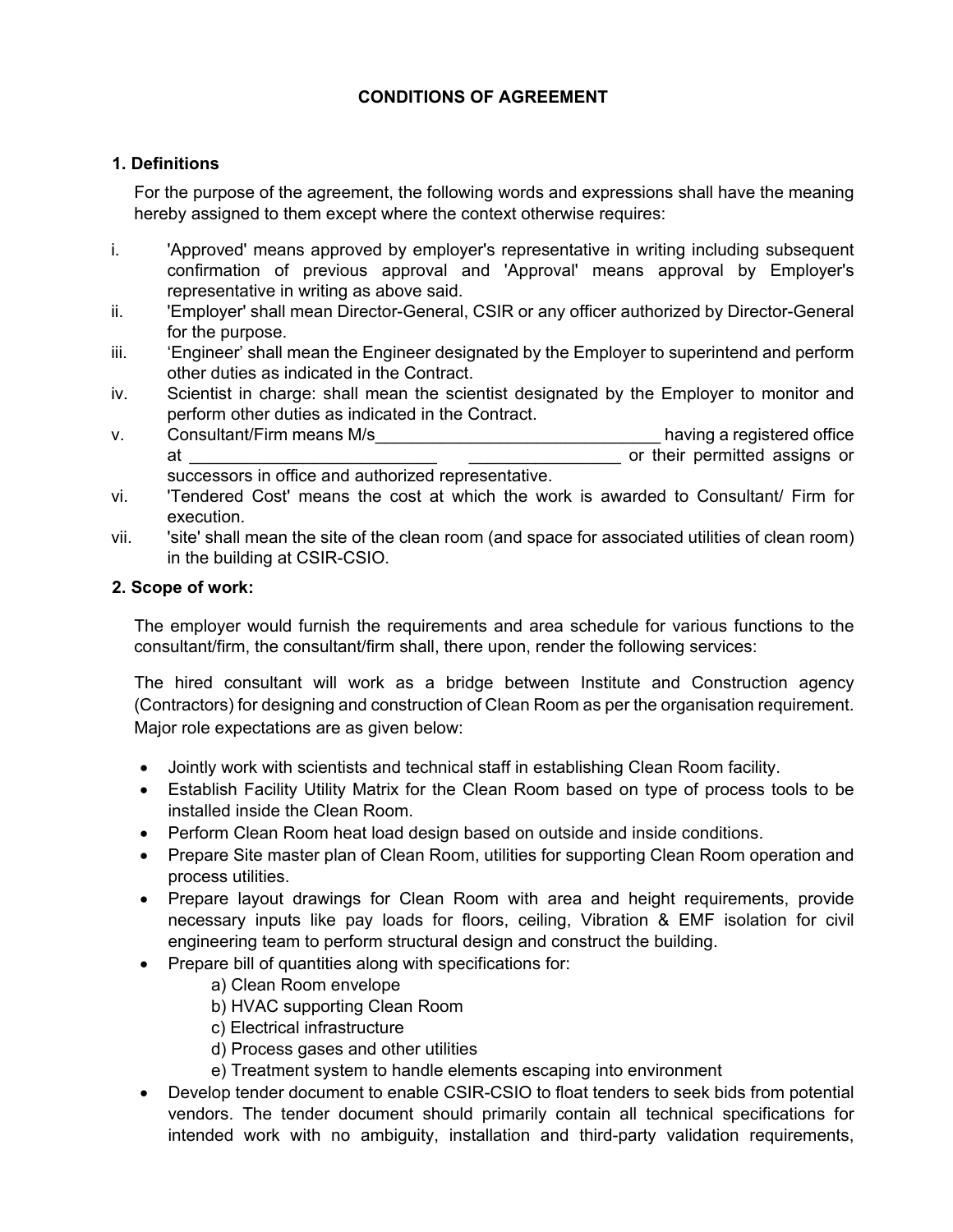# **CONDITIONS OF AGREEMENT**

# **1. Definitions**

For the purpose of the agreement, the following words and expressions shall have the meaning hereby assigned to them except where the context otherwise requires:

- i. 'Approved' means approved by employer's representative in writing including subsequent confirmation of previous approval and 'Approval' means approval by Employer's representative in writing as above said.
- ii. 'Employer' shall mean Director-General, CSIR or any officer authorized by Director-General for the purpose.
- iii. 'Engineer' shall mean the Engineer designated by the Employer to superintend and perform other duties as indicated in the Contract.
- iv. Scientist in charge: shall mean the scientist designated by the Employer to monitor and perform other duties as indicated in the Contract.
- v. Consultant/Firm means M/s and the state of the state of the state of the state of the state of the state of the state of the state of the state of the state of the state of the state of the state of the state of the sta at the contract of the contract of the contract of the contract of the contract of the contract of the contract of the contract of the contract of the contract of the contract of the contract of the contract of the contrac successors in office and authorized representative.
- vi. 'Tendered Cost' means the cost at which the work is awarded to Consultant/ Firm for execution.
- vii. 'site' shall mean the site of the clean room (and space for associated utilities of clean room) in the building at CSIR-CSIO.

# **2. Scope of work:**

The employer would furnish the requirements and area schedule for various functions to the consultant/firm, the consultant/firm shall, there upon, render the following services:

The hired consultant will work as a bridge between Institute and Construction agency (Contractors) for designing and construction of Clean Room as per the organisation requirement. Major role expectations are as given below:

- Jointly work with scientists and technical staff in establishing Clean Room facility.
- Establish Facility Utility Matrix for the Clean Room based on type of process tools to be installed inside the Clean Room.
- Perform Clean Room heat load design based on outside and inside conditions.
- Prepare Site master plan of Clean Room, utilities for supporting Clean Room operation and process utilities.
- Prepare layout drawings for Clean Room with area and height requirements, provide necessary inputs like pay loads for floors, ceiling, Vibration & EMF isolation for civil engineering team to perform structural design and construct the building.
- Prepare bill of quantities along with specifications for:
	- a) Clean Room envelope
	- b) HVAC supporting Clean Room
	- c) Electrical infrastructure
	- d) Process gases and other utilities
	- e) Treatment system to handle elements escaping into environment
- Develop tender document to enable CSIR-CSIO to float tenders to seek bids from potential vendors. The tender document should primarily contain all technical specifications for intended work with no ambiguity, installation and third-party validation requirements,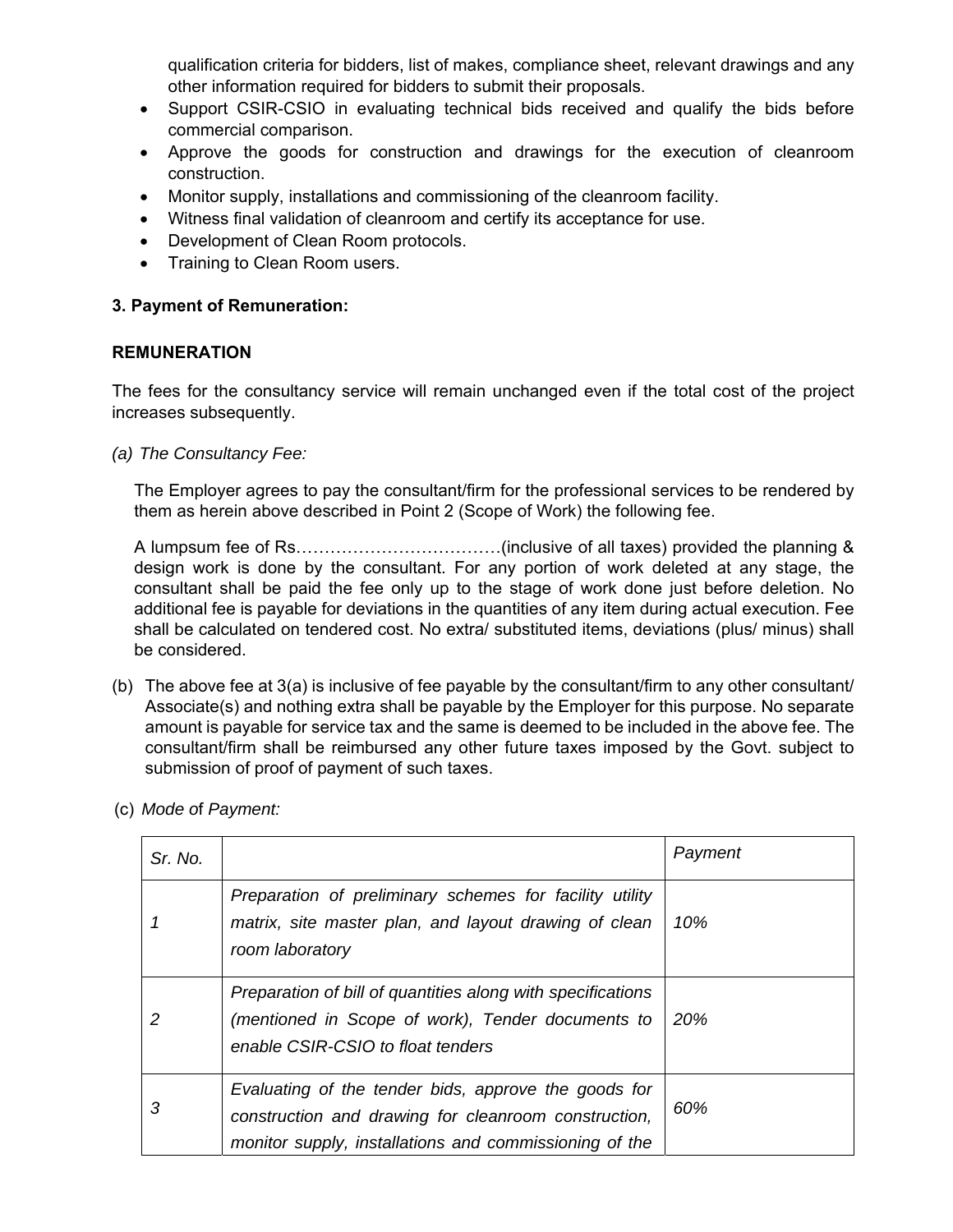qualification criteria for bidders, list of makes, compliance sheet, relevant drawings and any other information required for bidders to submit their proposals.

- Support CSIR-CSIO in evaluating technical bids received and qualify the bids before commercial comparison.
- Approve the goods for construction and drawings for the execution of cleanroom construction.
- Monitor supply, installations and commissioning of the cleanroom facility.
- Witness final validation of cleanroom and certify its acceptance for use.
- Development of Clean Room protocols.
- Training to Clean Room users.

#### **3. Payment of Remuneration:**

#### **REMUNERATION**

The fees for the consultancy service will remain unchanged even if the total cost of the project increases subsequently.

*(a) The Consultancy Fee:* 

The Employer agrees to pay the consultant/firm for the professional services to be rendered by them as herein above described in Point 2 (Scope of Work) the following fee.

A lumpsum fee of Rs………………………………(inclusive of all taxes) provided the planning & design work is done by the consultant. For any portion of work deleted at any stage, the consultant shall be paid the fee only up to the stage of work done just before deletion. No additional fee is payable for deviations in the quantities of any item during actual execution. Fee shall be calculated on tendered cost. No extra/ substituted items, deviations (plus/ minus) shall be considered.

- (b) The above fee at  $3(a)$  is inclusive of fee payable by the consultant/firm to any other consultant/ Associate(s) and nothing extra shall be payable by the Employer for this purpose. No separate amount is payable for service tax and the same is deemed to be included in the above fee. The consultant/firm shall be reimbursed any other future taxes imposed by the Govt. subject to submission of proof of payment of such taxes.
- (c) *Mode o*f *Payment:*

| Sr. No. |                                                                                                                                                                        | Payment |
|---------|------------------------------------------------------------------------------------------------------------------------------------------------------------------------|---------|
|         | Preparation of preliminary schemes for facility utility<br>matrix, site master plan, and layout drawing of clean<br>room laboratory                                    | 10%     |
|         | Preparation of bill of quantities along with specifications<br>(mentioned in Scope of work), Tender documents to<br>enable CSIR-CSIO to float tenders                  | 20%     |
| 3       | Evaluating of the tender bids, approve the goods for<br>construction and drawing for cleanroom construction,<br>monitor supply, installations and commissioning of the | 60%     |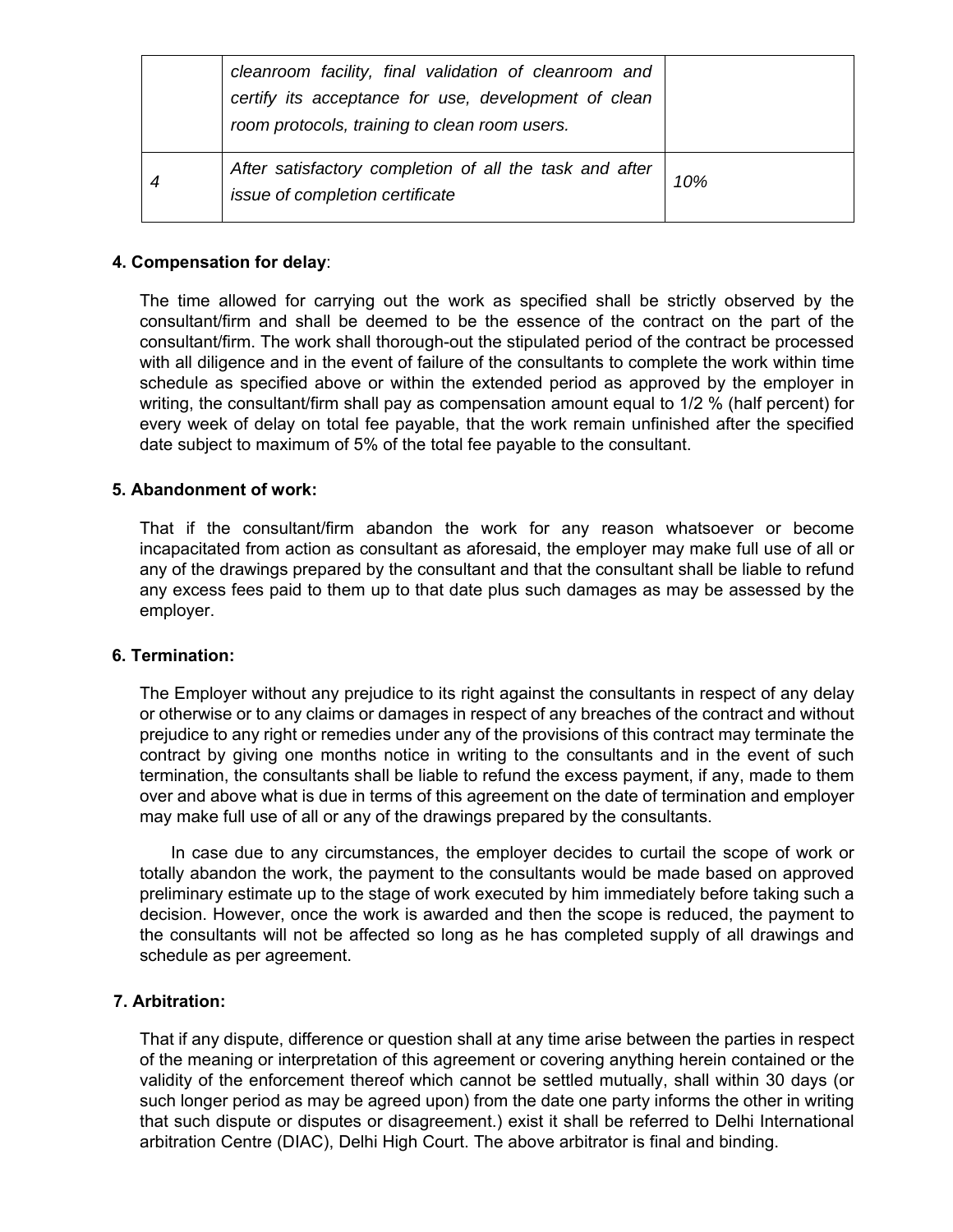| cleanroom facility, final validation of cleanroom and<br>certify its acceptance for use, development of clean<br>room protocols, training to clean room users. |     |
|----------------------------------------------------------------------------------------------------------------------------------------------------------------|-----|
| After satisfactory completion of all the task and after<br>issue of completion certificate                                                                     | 10% |

# **4. Compensation for delay**:

The time allowed for carrying out the work as specified shall be strictly observed by the consultant/firm and shall be deemed to be the essence of the contract on the part of the consultant/firm. The work shall thorough-out the stipulated period of the contract be processed with all diligence and in the event of failure of the consultants to complete the work within time schedule as specified above or within the extended period as approved by the employer in writing, the consultant/firm shall pay as compensation amount equal to 1/2 % (half percent) for every week of delay on total fee payable, that the work remain unfinished after the specified date subject to maximum of 5% of the total fee payable to the consultant.

# **5. Abandonment of work:**

That if the consultant/firm abandon the work for any reason whatsoever or become incapacitated from action as consultant as aforesaid, the employer may make full use of all or any of the drawings prepared by the consultant and that the consultant shall be liable to refund any excess fees paid to them up to that date plus such damages as may be assessed by the employer.

#### **6. Termination:**

The Employer without any prejudice to its right against the consultants in respect of any delay or otherwise or to any claims or damages in respect of any breaches of the contract and without prejudice to any right or remedies under any of the provisions of this contract may terminate the contract by giving one months notice in writing to the consultants and in the event of such termination, the consultants shall be liable to refund the excess payment, if any, made to them over and above what is due in terms of this agreement on the date of termination and employer may make full use of all or any of the drawings prepared by the consultants.

In case due to any circumstances, the employer decides to curtail the scope of work or totally abandon the work, the payment to the consultants would be made based on approved preliminary estimate up to the stage of work executed by him immediately before taking such a decision. However, once the work is awarded and then the scope is reduced, the payment to the consultants will not be affected so long as he has completed supply of all drawings and schedule as per agreement.

# **7. Arbitration:**

That if any dispute, difference or question shall at any time arise between the parties in respect of the meaning or interpretation of this agreement or covering anything herein contained or the validity of the enforcement thereof which cannot be settled mutually, shall within 30 days (or such longer period as may be agreed upon) from the date one party informs the other in writing that such dispute or disputes or disagreement.) exist it shall be referred to Delhi International arbitration Centre (DIAC), Delhi High Court. The above arbitrator is final and binding.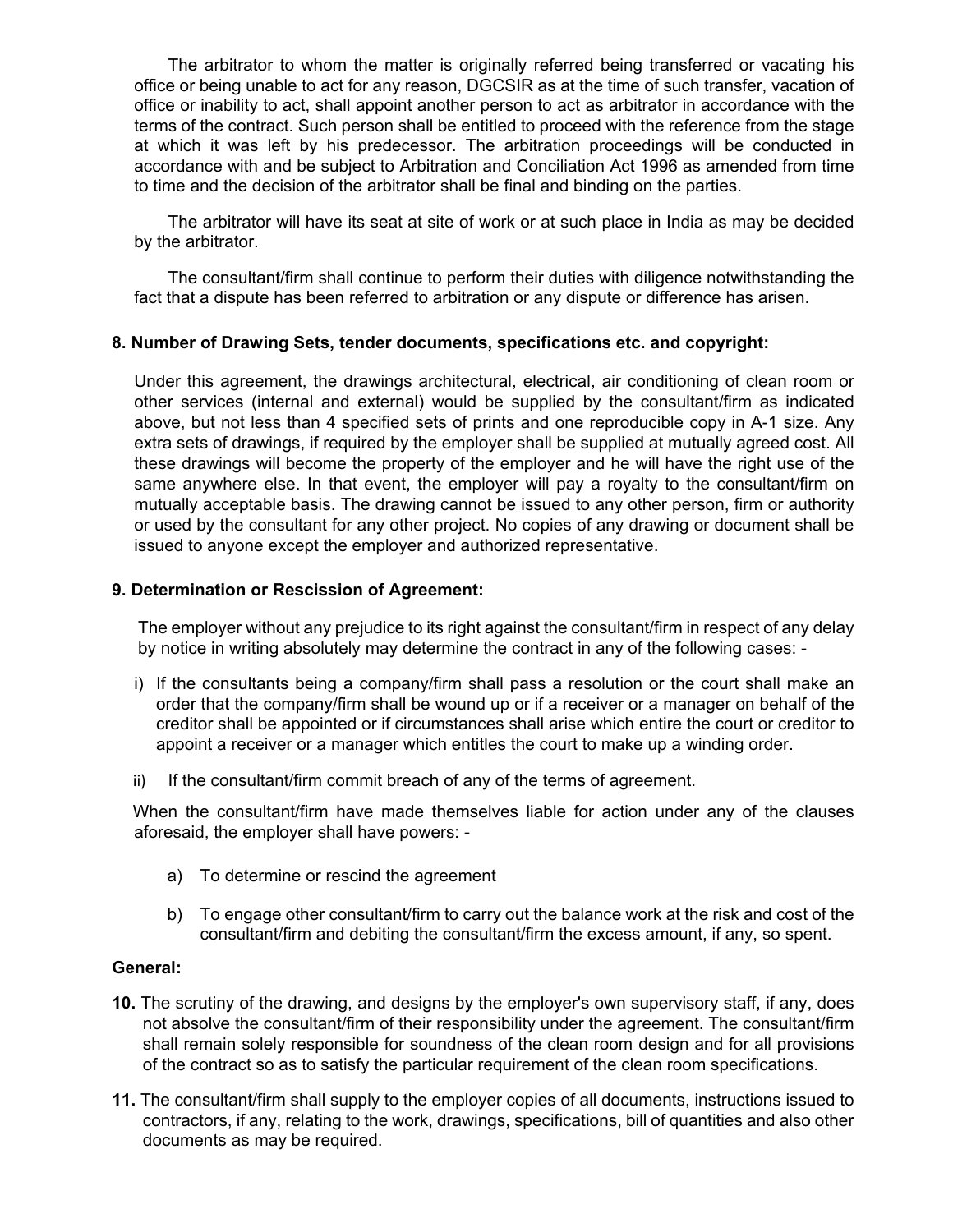The arbitrator to whom the matter is originally referred being transferred or vacating his office or being unable to act for any reason, DGCSIR as at the time of such transfer, vacation of office or inability to act, shall appoint another person to act as arbitrator in accordance with the terms of the contract. Such person shall be entitled to proceed with the reference from the stage at which it was left by his predecessor. The arbitration proceedings will be conducted in accordance with and be subject to Arbitration and Conciliation Act 1996 as amended from time to time and the decision of the arbitrator shall be final and binding on the parties.

The arbitrator will have its seat at site of work or at such place in India as may be decided by the arbitrator.

The consultant/firm shall continue to perform their duties with diligence notwithstanding the fact that a dispute has been referred to arbitration or any dispute or difference has arisen.

#### **8. Number of Drawing Sets, tender documents, specifications etc. and copyright:**

Under this agreement, the drawings architectural, electrical, air conditioning of clean room or other services (internal and external) would be supplied by the consultant/firm as indicated above, but not less than 4 specified sets of prints and one reproducible copy in A-1 size. Any extra sets of drawings, if required by the employer shall be supplied at mutually agreed cost. All these drawings will become the property of the employer and he will have the right use of the same anywhere else. In that event, the employer will pay a royalty to the consultant/firm on mutually acceptable basis. The drawing cannot be issued to any other person, firm or authority or used by the consultant for any other project. No copies of any drawing or document shall be issued to anyone except the employer and authorized representative.

## **9. Determination or Rescission of Agreement:**

The employer without any prejudice to its right against the consultant/firm in respect of any delay by notice in writing absolutely may determine the contract in any of the following cases: -

- i) If the consultants being a company/firm shall pass a resolution or the court shall make an order that the company/firm shall be wound up or if a receiver or a manager on behalf of the creditor shall be appointed or if circumstances shall arise which entire the court or creditor to appoint a receiver or a manager which entitles the court to make up a winding order.
- ii) If the consultant/firm commit breach of any of the terms of agreement.

When the consultant/firm have made themselves liable for action under any of the clauses aforesaid, the employer shall have powers: -

- a) To determine or rescind the agreement
- b) To engage other consultant/firm to carry out the balance work at the risk and cost of the consultant/firm and debiting the consultant/firm the excess amount, if any, so spent.

#### **General:**

- **10.** The scrutiny of the drawing, and designs by the employer's own supervisory staff, if any, does not absolve the consultant/firm of their responsibility under the agreement. The consultant/firm shall remain solely responsible for soundness of the clean room design and for all provisions of the contract so as to satisfy the particular requirement of the clean room specifications.
- **11.** The consultant/firm shall supply to the employer copies of all documents, instructions issued to contractors, if any, relating to the work, drawings, specifications, bill of quantities and also other documents as may be required.